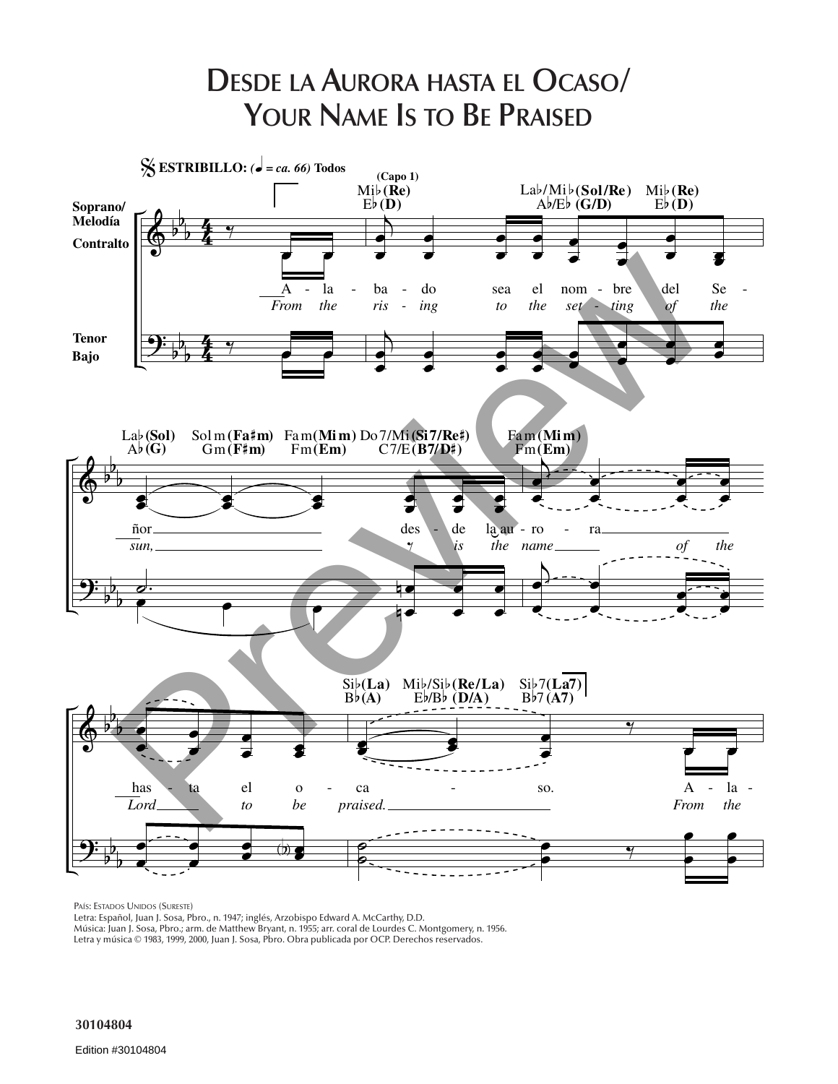

PAÍS: ESTADOS UNIDOS (SURESTE)

Letra: Español, Juan J. Sosa, Pbro., n. 1947; inglés, Arzobispo Edward A. McCarthy, D.D.

Música: Juan J. Sosa, Pbro.; arm. de Matthew Bryant, n. 1955; arr. coral de Lourdes C. Montgomery, n. 1956.

Letra y música © 1983, 1999, 2000, Juan J. Sosa, Pbro. Obra publicada por OCP. Derechos reservados.